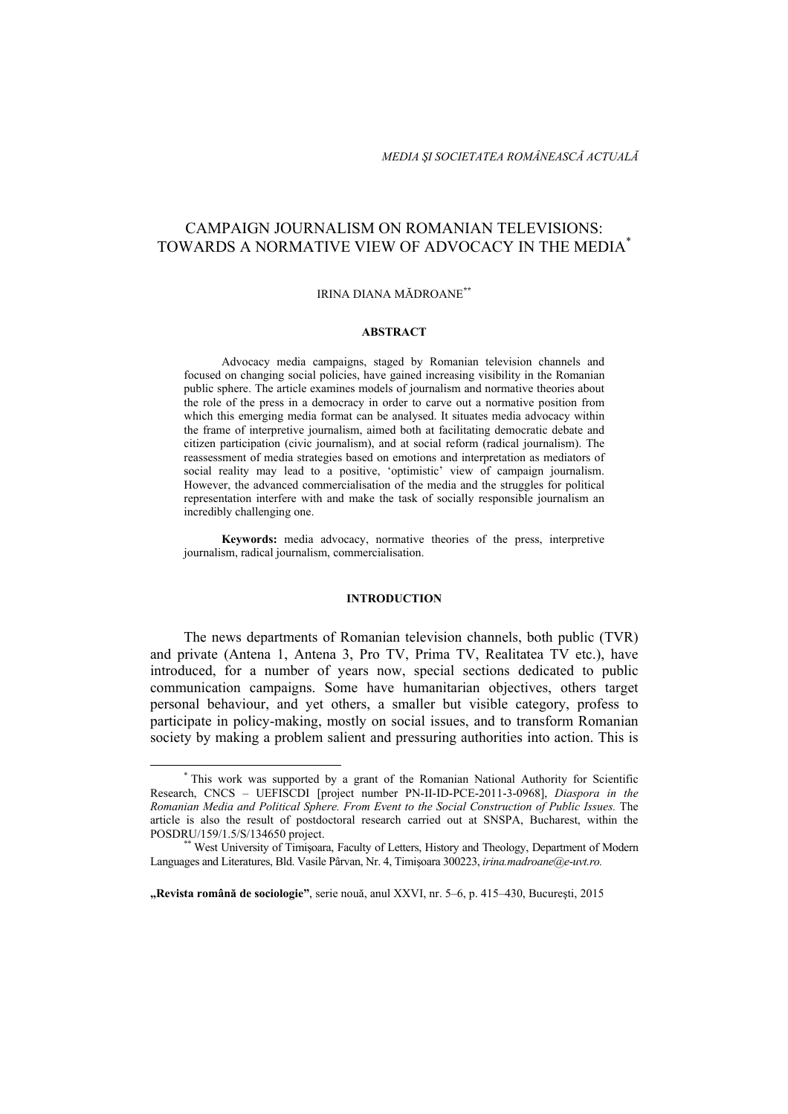# CAMPAIGN JOURNALISM ON ROMANIAN TELEVISIONS: TOWARDS A NORMATIVE VIEW OF ADVOCACY IN THE MEDIA\*

#### IRINA DIANA MĂDROANE**\*\***

#### **ABSTRACT**

Advocacy media campaigns, staged by Romanian television channels and focused on changing social policies, have gained increasing visibility in the Romanian public sphere. The article examines models of journalism and normative theories about the role of the press in a democracy in order to carve out a normative position from which this emerging media format can be analysed. It situates media advocacy within the frame of interpretive journalism, aimed both at facilitating democratic debate and citizen participation (civic journalism), and at social reform (radical journalism). The reassessment of media strategies based on emotions and interpretation as mediators of social reality may lead to a positive, 'optimistic' view of campaign journalism. However, the advanced commercialisation of the media and the struggles for political representation interfere with and make the task of socially responsible journalism an incredibly challenging one.

**Keywords:** media advocacy, normative theories of the press, interpretive journalism, radical journalism, commercialisation.

#### **INTRODUCTION**

The news departments of Romanian television channels, both public (TVR) and private (Antena 1, Antena 3, Pro TV, Prima TV, Realitatea TV etc.), have introduced, for a number of years now, special sections dedicated to public communication campaigns. Some have humanitarian objectives, others target personal behaviour, and yet others, a smaller but visible category, profess to participate in policy-making, mostly on social issues, and to transform Romanian society by making a problem salient and pressuring authorities into action. This is

<sup>\*</sup> This work was supported by a grant of the Romanian National Authority for Scientific Research, CNCS – UEFISCDI [project number PN-II-ID-PCE-2011-3-0968], *Diaspora in the Romanian Media and Political Sphere. From Event to the Social Construction of Public Issues.* The article is also the result of postdoctoral research carried out at SNSPA, Bucharest, within the POSDRU/159/1.5/S/134650 project.<br>\*\* West University of Timisoara, Faculty of Letters, History and Theology, Department of Modern

Languages and Literatures, Bld. Vasile Pârvan, Nr. 4, Timişoara 300223, *irina.madroane@e-uvt.ro.* 

**<sup>&</sup>quot;Revista română de sociologie"**, serie nouă, anul XXVI, nr. 5–6, p. 415–430, Bucureşti, 2015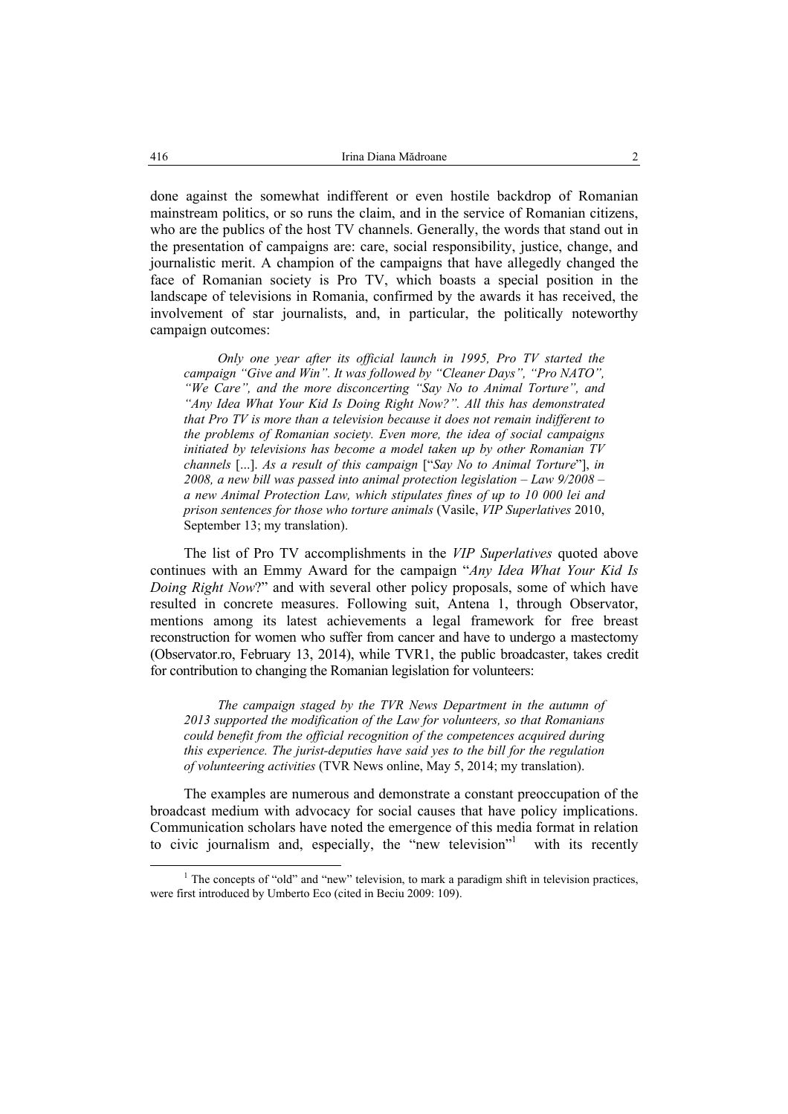done against the somewhat indifferent or even hostile backdrop of Romanian mainstream politics, or so runs the claim, and in the service of Romanian citizens, who are the publics of the host TV channels. Generally, the words that stand out in the presentation of campaigns are: care, social responsibility, justice, change, and journalistic merit. A champion of the campaigns that have allegedly changed the face of Romanian society is Pro TV, which boasts a special position in the landscape of televisions in Romania, confirmed by the awards it has received, the involvement of star journalists, and, in particular, the politically noteworthy campaign outcomes:

*Only one year after its official launch in 1995, Pro TV started the campaign "Give and Win". It was followed by "Cleaner Days", "Pro NATO", "We Care", and the more disconcerting "Say No to Animal Torture", and "Any Idea What Your Kid Is Doing Right Now?". All this has demonstrated that Pro TV is more than a television because it does not remain indifferent to the problems of Romanian society. Even more, the idea of social campaigns initiated by televisions has become a model taken up by other Romanian TV channels* [...]. *As a result of this campaign* ["*Say No to Animal Torture*"], *in 2008, a new bill was passed into animal protection legislation – Law 9/2008 – a new Animal Protection Law, which stipulates fines of up to 10 000 lei and prison sentences for those who torture animals* (Vasile, *VIP Superlatives* 2010, September 13; my translation).

The list of Pro TV accomplishments in the *VIP Superlatives* quoted above continues with an Emmy Award for the campaign "*Any Idea What Your Kid Is Doing Right Now*?" and with several other policy proposals, some of which have resulted in concrete measures. Following suit, Antena 1, through Observator, mentions among its latest achievements a legal framework for free breast reconstruction for women who suffer from cancer and have to undergo a mastectomy (Observator.ro, February 13, 2014), while TVR1, the public broadcaster, takes credit for contribution to changing the Romanian legislation for volunteers:

*The campaign staged by the TVR News Department in the autumn of 2013 supported the modification of the Law for volunteers, so that Romanians could benefit from the official recognition of the competences acquired during this experience. The jurist-deputies have said yes to the bill for the regulation of volunteering activities* (TVR News online, May 5, 2014; my translation).

The examples are numerous and demonstrate a constant preoccupation of the broadcast medium with advocacy for social causes that have policy implications. Communication scholars have noted the emergence of this media format in relation to civic journalism and, especially, the "new television"<sup>1</sup> with its recently

<sup>&</sup>lt;sup>1</sup> The concepts of "old" and "new" television, to mark a paradigm shift in television practices, were first introduced by Umberto Eco (cited in Beciu 2009: 109).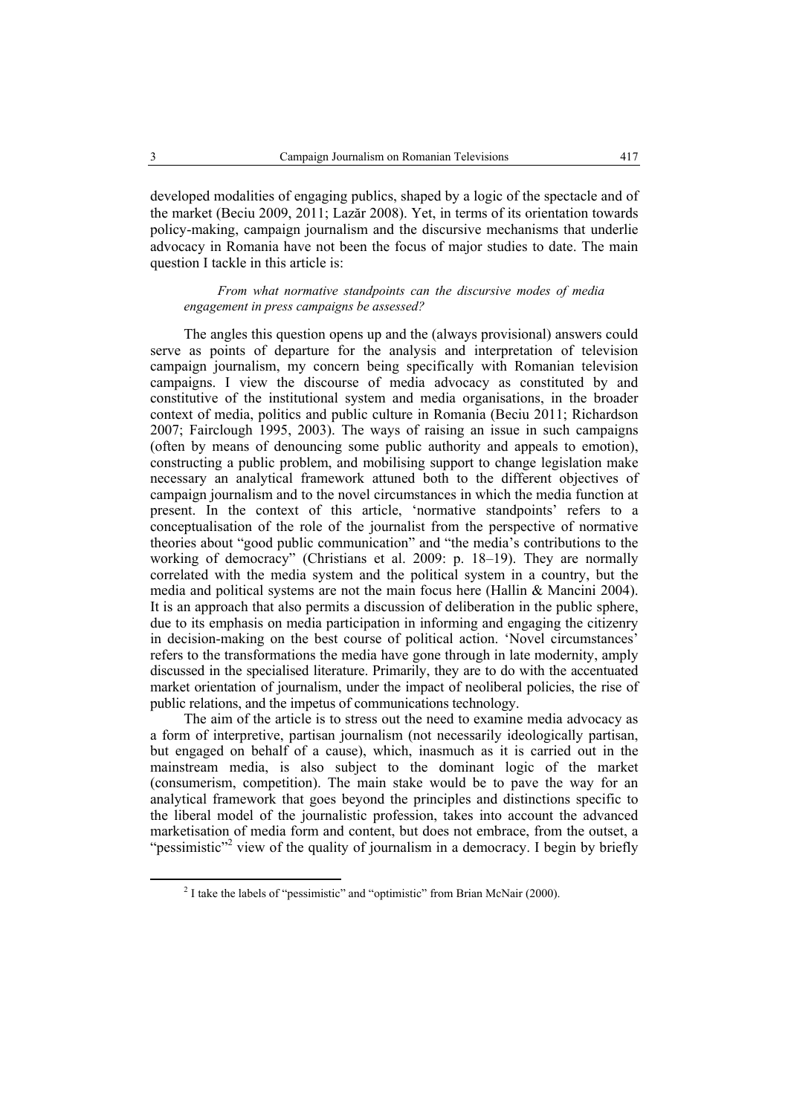developed modalities of engaging publics, shaped by a logic of the spectacle and of the market (Beciu 2009, 2011; Lazăr 2008). Yet, in terms of its orientation towards policy-making, campaign journalism and the discursive mechanisms that underlie advocacy in Romania have not been the focus of major studies to date. The main question I tackle in this article is:

*From what normative standpoints can the discursive modes of media engagement in press campaigns be assessed?* 

The angles this question opens up and the (always provisional) answers could serve as points of departure for the analysis and interpretation of television campaign journalism, my concern being specifically with Romanian television campaigns. I view the discourse of media advocacy as constituted by and constitutive of the institutional system and media organisations, in the broader context of media, politics and public culture in Romania (Beciu 2011; Richardson 2007; Fairclough 1995, 2003). The ways of raising an issue in such campaigns (often by means of denouncing some public authority and appeals to emotion), constructing a public problem, and mobilising support to change legislation make necessary an analytical framework attuned both to the different objectives of campaign journalism and to the novel circumstances in which the media function at present. In the context of this article, 'normative standpoints' refers to a conceptualisation of the role of the journalist from the perspective of normative theories about "good public communication" and "the media's contributions to the working of democracy" (Christians et al. 2009: p. 18–19). They are normally correlated with the media system and the political system in a country, but the media and political systems are not the main focus here (Hallin  $&$  Mancini 2004). It is an approach that also permits a discussion of deliberation in the public sphere, due to its emphasis on media participation in informing and engaging the citizenry in decision-making on the best course of political action. 'Novel circumstances' refers to the transformations the media have gone through in late modernity, amply discussed in the specialised literature. Primarily, they are to do with the accentuated market orientation of journalism, under the impact of neoliberal policies, the rise of public relations, and the impetus of communications technology.

The aim of the article is to stress out the need to examine media advocacy as a form of interpretive, partisan journalism (not necessarily ideologically partisan, but engaged on behalf of a cause), which, inasmuch as it is carried out in the mainstream media, is also subject to the dominant logic of the market (consumerism, competition). The main stake would be to pave the way for an analytical framework that goes beyond the principles and distinctions specific to the liberal model of the journalistic profession, takes into account the advanced marketisation of media form and content, but does not embrace, from the outset, a "pessimistic"<sup>2</sup> view of the quality of journalism in a democracy. I begin by briefly

<sup>&</sup>lt;sup>2</sup> I take the labels of "pessimistic" and "optimistic" from Brian McNair (2000).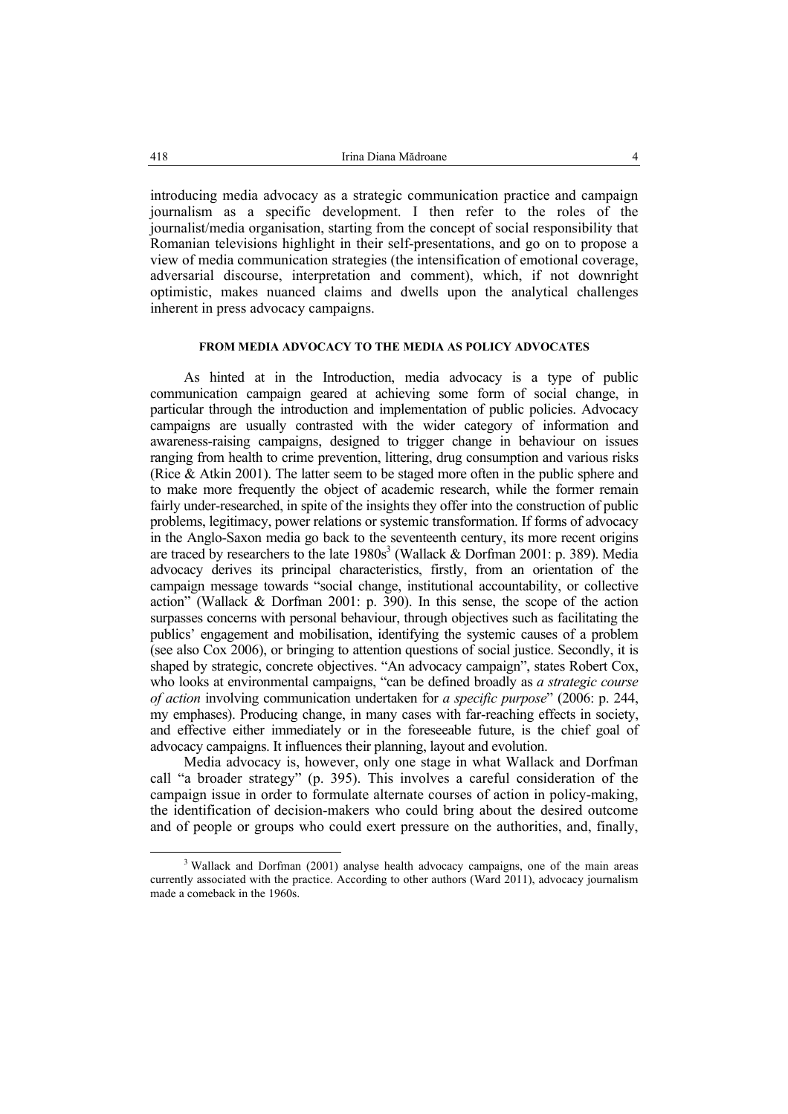introducing media advocacy as a strategic communication practice and campaign journalism as a specific development. I then refer to the roles of the journalist/media organisation, starting from the concept of social responsibility that Romanian televisions highlight in their self-presentations, and go on to propose a view of media communication strategies (the intensification of emotional coverage, adversarial discourse, interpretation and comment), which, if not downright optimistic, makes nuanced claims and dwells upon the analytical challenges inherent in press advocacy campaigns.

## **FROM MEDIA ADVOCACY TO THE MEDIA AS POLICY ADVOCATES**

As hinted at in the Introduction, media advocacy is a type of public communication campaign geared at achieving some form of social change, in particular through the introduction and implementation of public policies. Advocacy campaigns are usually contrasted with the wider category of information and awareness-raising campaigns, designed to trigger change in behaviour on issues ranging from health to crime prevention, littering, drug consumption and various risks (Rice & Atkin 2001). The latter seem to be staged more often in the public sphere and to make more frequently the object of academic research, while the former remain fairly under-researched, in spite of the insights they offer into the construction of public problems, legitimacy, power relations or systemic transformation. If forms of advocacy in the Anglo-Saxon media go back to the seventeenth century, its more recent origins are traced by researchers to the late  $1980s<sup>3</sup>$  (Wallack & Dorfman 2001: p. 389). Media advocacy derives its principal characteristics, firstly, from an orientation of the campaign message towards "social change, institutional accountability, or collective action" (Wallack & Dorfman 2001: p. 390). In this sense, the scope of the action surpasses concerns with personal behaviour, through objectives such as facilitating the publics' engagement and mobilisation, identifying the systemic causes of a problem (see also Cox 2006), or bringing to attention questions of social justice. Secondly, it is shaped by strategic, concrete objectives. "An advocacy campaign", states Robert Cox, who looks at environmental campaigns, "can be defined broadly as *a strategic course of action* involving communication undertaken for *a specific purpose*" (2006: p. 244, my emphases). Producing change, in many cases with far-reaching effects in society, and effective either immediately or in the foreseeable future, is the chief goal of advocacy campaigns. It influences their planning, layout and evolution.

Media advocacy is, however, only one stage in what Wallack and Dorfman call "a broader strategy" (p. 395). This involves a careful consideration of the campaign issue in order to formulate alternate courses of action in policy-making, the identification of decision-makers who could bring about the desired outcome and of people or groups who could exert pressure on the authorities, and, finally,

<sup>&</sup>lt;sup>3</sup> Wallack and Dorfman (2001) analyse health advocacy campaigns, one of the main areas currently associated with the practice. According to other authors (Ward 2011), advocacy journalism made a comeback in the 1960s.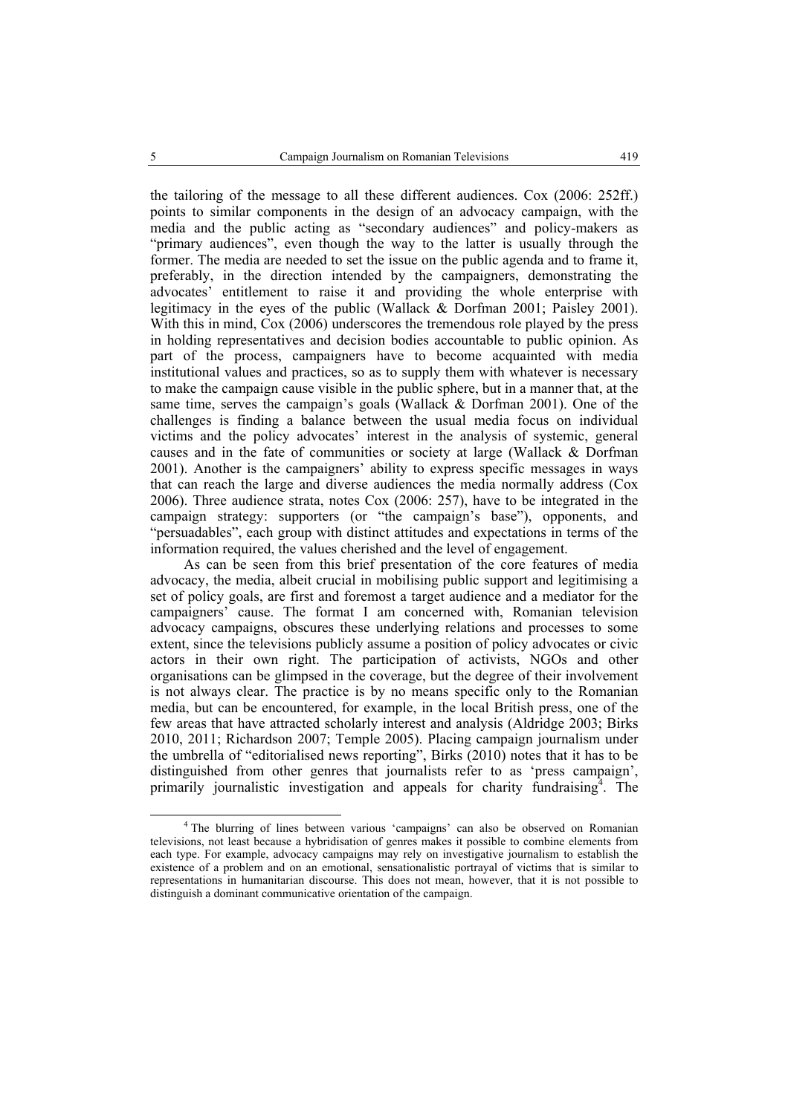the tailoring of the message to all these different audiences. Cox (2006: 252ff.) points to similar components in the design of an advocacy campaign, with the media and the public acting as "secondary audiences" and policy-makers as "primary audiences", even though the way to the latter is usually through the former. The media are needed to set the issue on the public agenda and to frame it, preferably, in the direction intended by the campaigners, demonstrating the advocates' entitlement to raise it and providing the whole enterprise with legitimacy in the eyes of the public (Wallack & Dorfman 2001; Paisley 2001). With this in mind, Cox (2006) underscores the tremendous role played by the press in holding representatives and decision bodies accountable to public opinion. As part of the process, campaigners have to become acquainted with media institutional values and practices, so as to supply them with whatever is necessary to make the campaign cause visible in the public sphere, but in a manner that, at the same time, serves the campaign's goals (Wallack & Dorfman 2001). One of the challenges is finding a balance between the usual media focus on individual victims and the policy advocates' interest in the analysis of systemic, general causes and in the fate of communities or society at large (Wallack & Dorfman 2001). Another is the campaigners' ability to express specific messages in ways that can reach the large and diverse audiences the media normally address (Cox 2006). Three audience strata, notes Cox (2006: 257), have to be integrated in the campaign strategy: supporters (or "the campaign's base"), opponents, and "persuadables", each group with distinct attitudes and expectations in terms of the information required, the values cherished and the level of engagement.

As can be seen from this brief presentation of the core features of media advocacy, the media, albeit crucial in mobilising public support and legitimising a set of policy goals, are first and foremost a target audience and a mediator for the campaigners' cause. The format I am concerned with, Romanian television advocacy campaigns, obscures these underlying relations and processes to some extent, since the televisions publicly assume a position of policy advocates or civic actors in their own right. The participation of activists, NGOs and other organisations can be glimpsed in the coverage, but the degree of their involvement is not always clear. The practice is by no means specific only to the Romanian media, but can be encountered, for example, in the local British press, one of the few areas that have attracted scholarly interest and analysis (Aldridge 2003; Birks 2010, 2011; Richardson 2007; Temple 2005). Placing campaign journalism under the umbrella of "editorialised news reporting", Birks (2010) notes that it has to be distinguished from other genres that journalists refer to as 'press campaign', primarily journalistic investigation and appeals for charity fundraising<sup>4</sup>. The

 <sup>4</sup> The blurring of lines between various 'campaigns' can also be observed on Romanian televisions, not least because a hybridisation of genres makes it possible to combine elements from each type. For example, advocacy campaigns may rely on investigative journalism to establish the existence of a problem and on an emotional, sensationalistic portrayal of victims that is similar to representations in humanitarian discourse. This does not mean, however, that it is not possible to distinguish a dominant communicative orientation of the campaign.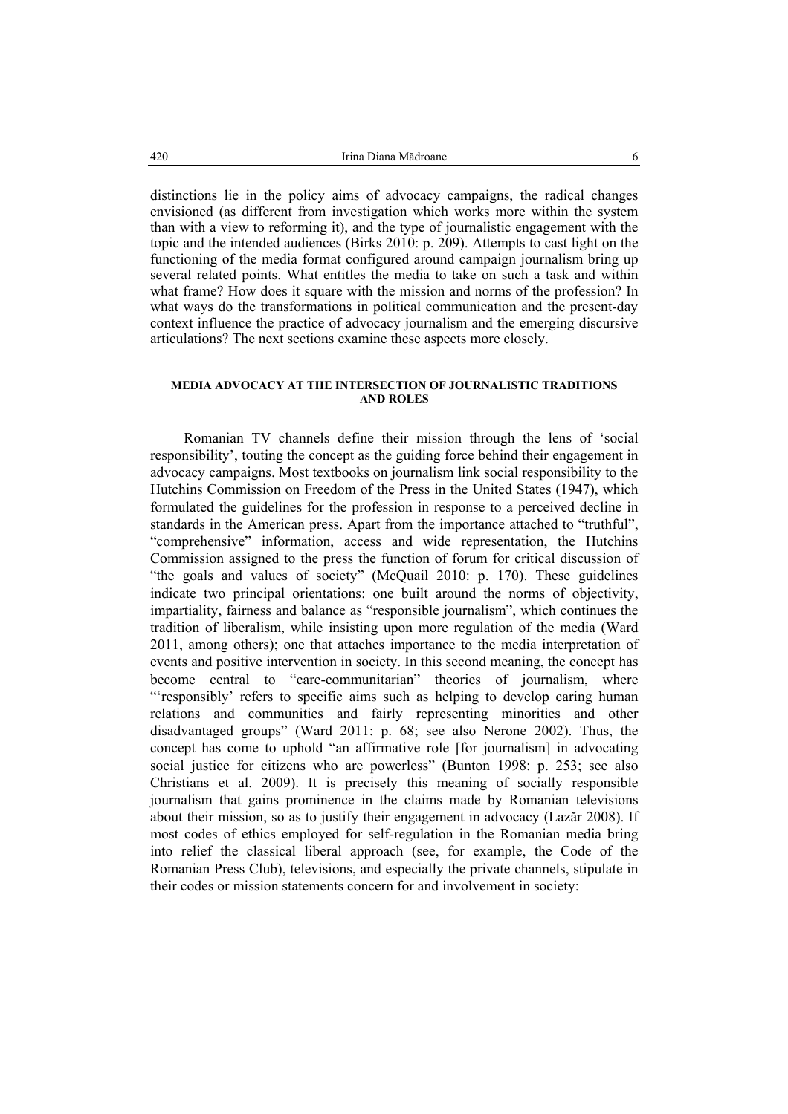distinctions lie in the policy aims of advocacy campaigns, the radical changes envisioned (as different from investigation which works more within the system than with a view to reforming it), and the type of journalistic engagement with the topic and the intended audiences (Birks 2010: p. 209). Attempts to cast light on the functioning of the media format configured around campaign journalism bring up several related points. What entitles the media to take on such a task and within what frame? How does it square with the mission and norms of the profession? In what ways do the transformations in political communication and the present-day context influence the practice of advocacy journalism and the emerging discursive articulations? The next sections examine these aspects more closely.

## **MEDIA ADVOCACY AT THE INTERSECTION OF JOURNALISTIC TRADITIONS AND ROLES**

Romanian TV channels define their mission through the lens of 'social responsibility', touting the concept as the guiding force behind their engagement in advocacy campaigns. Most textbooks on journalism link social responsibility to the Hutchins Commission on Freedom of the Press in the United States (1947), which formulated the guidelines for the profession in response to a perceived decline in standards in the American press. Apart from the importance attached to "truthful", "comprehensive" information, access and wide representation, the Hutchins Commission assigned to the press the function of forum for critical discussion of "the goals and values of society" (McQuail 2010: p. 170). These guidelines indicate two principal orientations: one built around the norms of objectivity, impartiality, fairness and balance as "responsible journalism", which continues the tradition of liberalism, while insisting upon more regulation of the media (Ward 2011, among others); one that attaches importance to the media interpretation of events and positive intervention in society. In this second meaning, the concept has become central to "care-communitarian" theories of journalism, where "'responsibly' refers to specific aims such as helping to develop caring human relations and communities and fairly representing minorities and other disadvantaged groups" (Ward 2011: p. 68; see also Nerone 2002). Thus, the concept has come to uphold "an affirmative role [for journalism] in advocating social justice for citizens who are powerless" (Bunton 1998: p. 253; see also Christians et al. 2009). It is precisely this meaning of socially responsible journalism that gains prominence in the claims made by Romanian televisions about their mission, so as to justify their engagement in advocacy (Lazăr 2008). If most codes of ethics employed for self-regulation in the Romanian media bring into relief the classical liberal approach (see, for example, the Code of the Romanian Press Club), televisions, and especially the private channels, stipulate in their codes or mission statements concern for and involvement in society: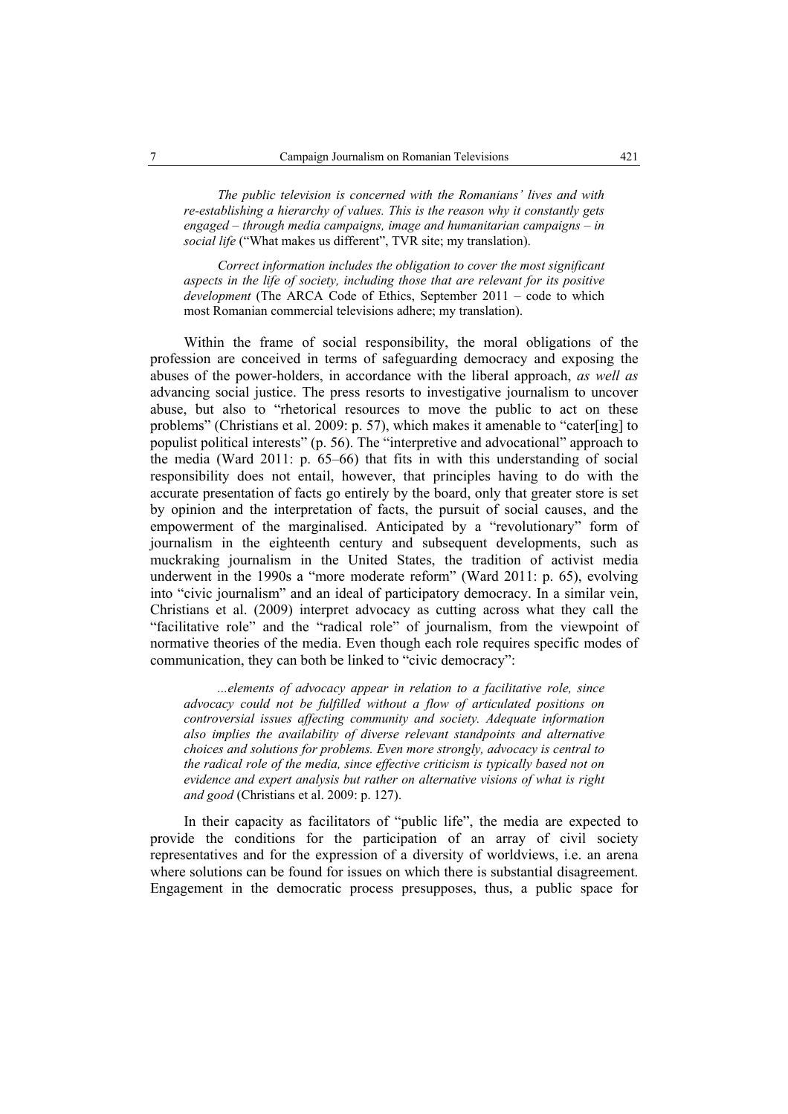*The public television is concerned with the Romanians' lives and with re-establishing a hierarchy of values. This is the reason why it constantly gets engaged – through media campaigns, image and humanitarian campaigns – in social life* ("What makes us different", TVR site; my translation).

*Correct information includes the obligation to cover the most significant aspects in the life of society, including those that are relevant for its positive development* (The ARCA Code of Ethics, September 2011 – code to which most Romanian commercial televisions adhere; my translation).

Within the frame of social responsibility, the moral obligations of the profession are conceived in terms of safeguarding democracy and exposing the abuses of the power-holders, in accordance with the liberal approach, *as well as* advancing social justice. The press resorts to investigative journalism to uncover abuse, but also to "rhetorical resources to move the public to act on these problems" (Christians et al. 2009: p. 57), which makes it amenable to "cater[ing] to populist political interests" (p. 56). The "interpretive and advocational" approach to the media (Ward 2011: p. 65–66) that fits in with this understanding of social responsibility does not entail, however, that principles having to do with the accurate presentation of facts go entirely by the board, only that greater store is set by opinion and the interpretation of facts, the pursuit of social causes, and the empowerment of the marginalised. Anticipated by a "revolutionary" form of journalism in the eighteenth century and subsequent developments, such as muckraking journalism in the United States, the tradition of activist media underwent in the 1990s a "more moderate reform" (Ward 2011: p. 65), evolving into "civic journalism" and an ideal of participatory democracy. In a similar vein, Christians et al. (2009) interpret advocacy as cutting across what they call the "facilitative role" and the "radical role" of journalism, from the viewpoint of normative theories of the media. Even though each role requires specific modes of communication, they can both be linked to "civic democracy":

*...elements of advocacy appear in relation to a facilitative role, since advocacy could not be fulfilled without a flow of articulated positions on controversial issues affecting community and society. Adequate information also implies the availability of diverse relevant standpoints and alternative choices and solutions for problems. Even more strongly, advocacy is central to the radical role of the media, since effective criticism is typically based not on evidence and expert analysis but rather on alternative visions of what is right and good* (Christians et al. 2009: p. 127).

In their capacity as facilitators of "public life", the media are expected to provide the conditions for the participation of an array of civil society representatives and for the expression of a diversity of worldviews, i.e. an arena where solutions can be found for issues on which there is substantial disagreement. Engagement in the democratic process presupposes, thus, a public space for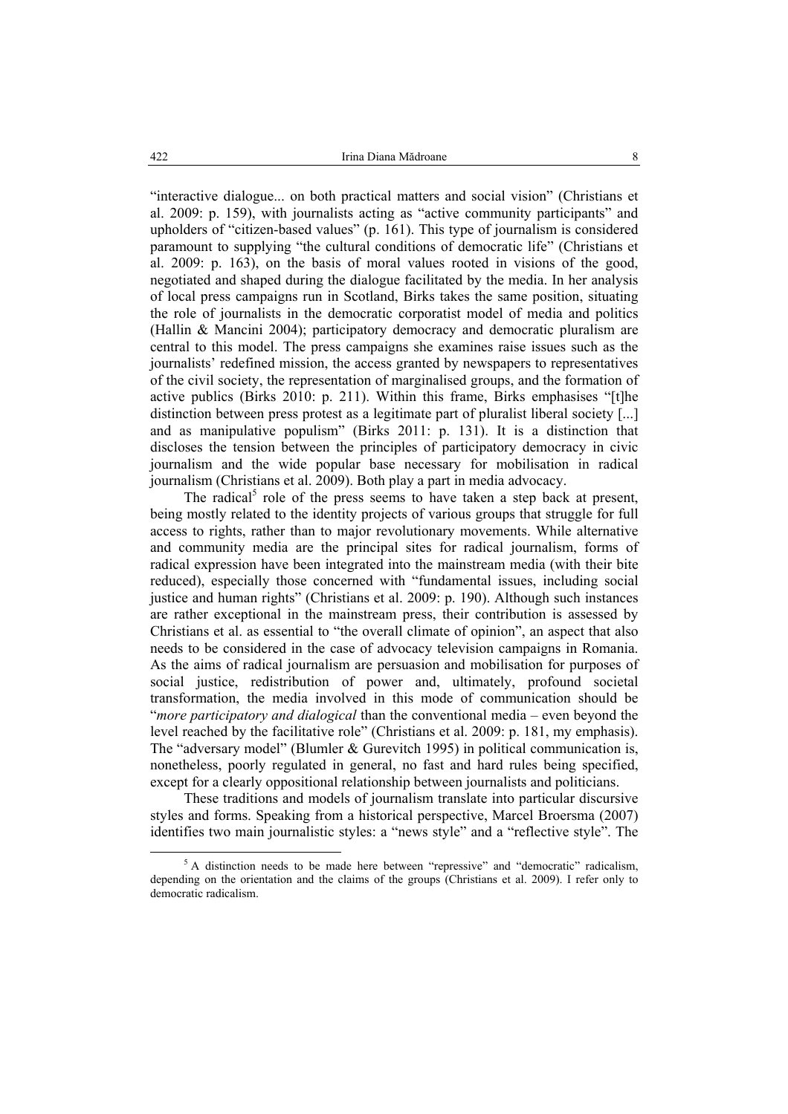"interactive dialogue... on both practical matters and social vision" (Christians et al. 2009: p. 159), with journalists acting as "active community participants" and upholders of "citizen-based values" (p. 161). This type of journalism is considered paramount to supplying "the cultural conditions of democratic life" (Christians et al. 2009: p. 163), on the basis of moral values rooted in visions of the good, negotiated and shaped during the dialogue facilitated by the media. In her analysis of local press campaigns run in Scotland, Birks takes the same position, situating the role of journalists in the democratic corporatist model of media and politics (Hallin & Mancini 2004); participatory democracy and democratic pluralism are central to this model. The press campaigns she examines raise issues such as the journalists' redefined mission, the access granted by newspapers to representatives of the civil society, the representation of marginalised groups, and the formation of active publics (Birks 2010: p. 211). Within this frame, Birks emphasises "[t]he distinction between press protest as a legitimate part of pluralist liberal society [...] and as manipulative populism" (Birks 2011: p. 131). It is a distinction that discloses the tension between the principles of participatory democracy in civic journalism and the wide popular base necessary for mobilisation in radical journalism (Christians et al. 2009). Both play a part in media advocacy.

The radical<sup>5</sup> role of the press seems to have taken a step back at present, being mostly related to the identity projects of various groups that struggle for full access to rights, rather than to major revolutionary movements. While alternative and community media are the principal sites for radical journalism, forms of radical expression have been integrated into the mainstream media (with their bite reduced), especially those concerned with "fundamental issues, including social justice and human rights" (Christians et al. 2009: p. 190). Although such instances are rather exceptional in the mainstream press, their contribution is assessed by Christians et al. as essential to "the overall climate of opinion", an aspect that also needs to be considered in the case of advocacy television campaigns in Romania. As the aims of radical journalism are persuasion and mobilisation for purposes of social justice, redistribution of power and, ultimately, profound societal transformation, the media involved in this mode of communication should be "*more participatory and dialogical* than the conventional media – even beyond the level reached by the facilitative role" (Christians et al. 2009: p. 181, my emphasis). The "adversary model" (Blumler & Gurevitch 1995) in political communication is, nonetheless, poorly regulated in general, no fast and hard rules being specified, except for a clearly oppositional relationship between journalists and politicians.

These traditions and models of journalism translate into particular discursive styles and forms. Speaking from a historical perspective, Marcel Broersma (2007) identifies two main journalistic styles: a "news style" and a "reflective style". The

<sup>&</sup>lt;sup>5</sup> A distinction needs to be made here between "repressive" and "democratic" radicalism, depending on the orientation and the claims of the groups (Christians et al. 2009). I refer only to democratic radicalism.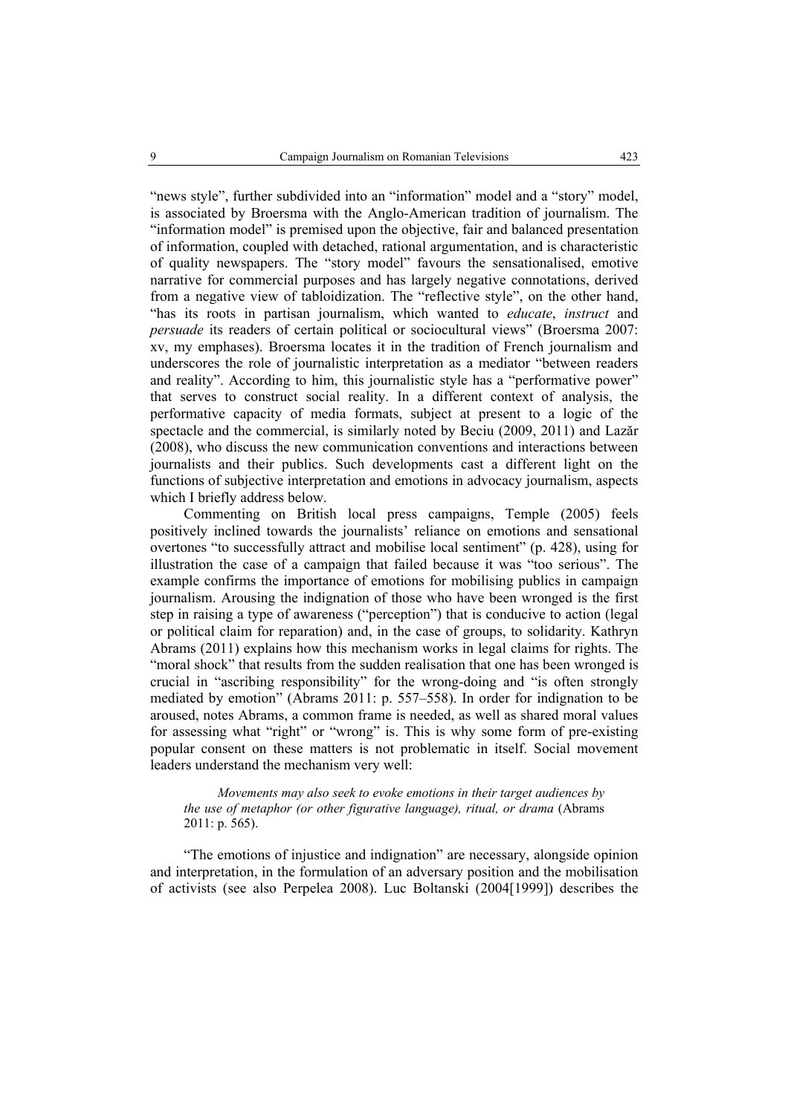"news style", further subdivided into an "information" model and a "story" model, is associated by Broersma with the Anglo-American tradition of journalism. The "information model" is premised upon the objective, fair and balanced presentation of information, coupled with detached, rational argumentation, and is characteristic of quality newspapers. The "story model" favours the sensationalised, emotive narrative for commercial purposes and has largely negative connotations, derived from a negative view of tabloidization. The "reflective style", on the other hand, "has its roots in partisan journalism, which wanted to *educate*, *instruct* and *persuade* its readers of certain political or sociocultural views" (Broersma 2007: xv, my emphases). Broersma locates it in the tradition of French journalism and underscores the role of journalistic interpretation as a mediator "between readers and reality". According to him, this journalistic style has a "performative power" that serves to construct social reality. In a different context of analysis, the performative capacity of media formats, subject at present to a logic of the spectacle and the commercial, is similarly noted by Beciu (2009, 2011) and Lazăr (2008), who discuss the new communication conventions and interactions between journalists and their publics. Such developments cast a different light on the functions of subjective interpretation and emotions in advocacy journalism, aspects which I briefly address below.

Commenting on British local press campaigns, Temple (2005) feels positively inclined towards the journalists' reliance on emotions and sensational overtones "to successfully attract and mobilise local sentiment" (p. 428), using for illustration the case of a campaign that failed because it was "too serious". The example confirms the importance of emotions for mobilising publics in campaign journalism. Arousing the indignation of those who have been wronged is the first step in raising a type of awareness ("perception") that is conducive to action (legal or political claim for reparation) and, in the case of groups, to solidarity. Kathryn Abrams (2011) explains how this mechanism works in legal claims for rights. The "moral shock" that results from the sudden realisation that one has been wronged is crucial in "ascribing responsibility" for the wrong-doing and "is often strongly mediated by emotion" (Abrams 2011: p. 557–558). In order for indignation to be aroused, notes Abrams, a common frame is needed, as well as shared moral values for assessing what "right" or "wrong" is. This is why some form of pre-existing popular consent on these matters is not problematic in itself. Social movement leaders understand the mechanism very well:

*Movements may also seek to evoke emotions in their target audiences by the use of metaphor (or other figurative language), ritual, or drama* (Abrams 2011: p. 565).

"The emotions of injustice and indignation" are necessary, alongside opinion and interpretation, in the formulation of an adversary position and the mobilisation of activists (see also Perpelea 2008). Luc Boltanski (2004[1999]) describes the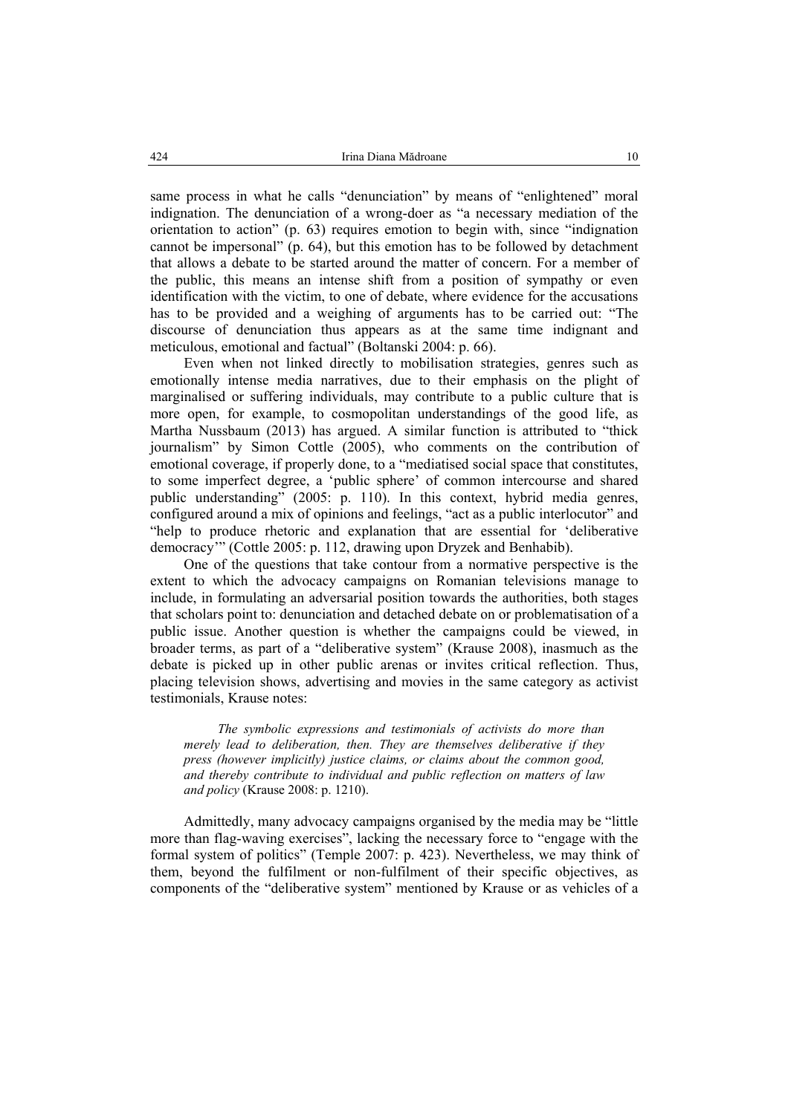same process in what he calls "denunciation" by means of "enlightened" moral indignation. The denunciation of a wrong-doer as "a necessary mediation of the orientation to action" (p. 63) requires emotion to begin with, since "indignation cannot be impersonal" (p. 64), but this emotion has to be followed by detachment that allows a debate to be started around the matter of concern. For a member of the public, this means an intense shift from a position of sympathy or even identification with the victim, to one of debate, where evidence for the accusations has to be provided and a weighing of arguments has to be carried out: "The discourse of denunciation thus appears as at the same time indignant and meticulous, emotional and factual" (Boltanski 2004: p. 66).

Even when not linked directly to mobilisation strategies, genres such as emotionally intense media narratives, due to their emphasis on the plight of marginalised or suffering individuals, may contribute to a public culture that is more open, for example, to cosmopolitan understandings of the good life, as Martha Nussbaum (2013) has argued. A similar function is attributed to "thick journalism" by Simon Cottle (2005), who comments on the contribution of emotional coverage, if properly done, to a "mediatised social space that constitutes, to some imperfect degree, a 'public sphere' of common intercourse and shared public understanding" (2005: p. 110). In this context, hybrid media genres, configured around a mix of opinions and feelings, "act as a public interlocutor" and "help to produce rhetoric and explanation that are essential for 'deliberative democracy'" (Cottle 2005: p. 112, drawing upon Dryzek and Benhabib).

One of the questions that take contour from a normative perspective is the extent to which the advocacy campaigns on Romanian televisions manage to include, in formulating an adversarial position towards the authorities, both stages that scholars point to: denunciation and detached debate on or problematisation of a public issue. Another question is whether the campaigns could be viewed, in broader terms, as part of a "deliberative system" (Krause 2008), inasmuch as the debate is picked up in other public arenas or invites critical reflection. Thus, placing television shows, advertising and movies in the same category as activist testimonials, Krause notes:

*The symbolic expressions and testimonials of activists do more than merely lead to deliberation, then. They are themselves deliberative if they press (however implicitly) justice claims, or claims about the common good, and thereby contribute to individual and public reflection on matters of law and policy* (Krause 2008: p. 1210).

Admittedly, many advocacy campaigns organised by the media may be "little more than flag-waving exercises", lacking the necessary force to "engage with the formal system of politics" (Temple 2007: p. 423). Nevertheless, we may think of them, beyond the fulfilment or non-fulfilment of their specific objectives, as components of the "deliberative system" mentioned by Krause or as vehicles of a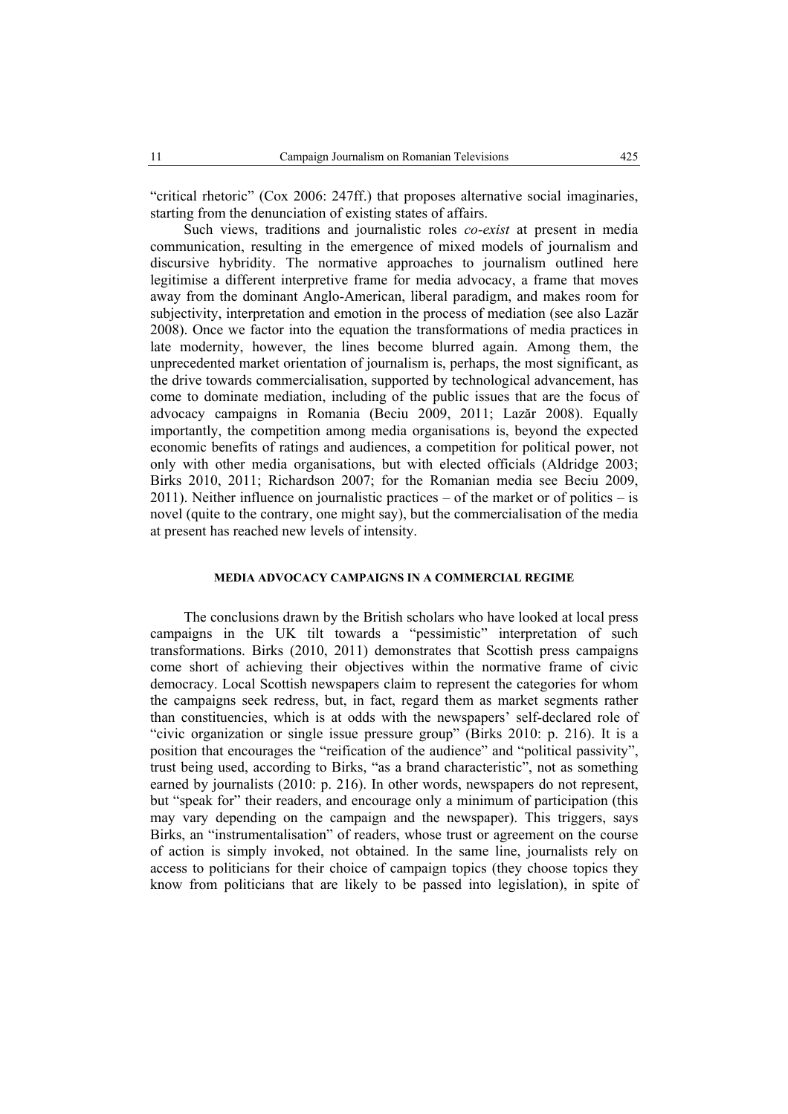"critical rhetoric" (Cox 2006: 247ff.) that proposes alternative social imaginaries, starting from the denunciation of existing states of affairs.

Such views, traditions and journalistic roles *co-exist* at present in media communication, resulting in the emergence of mixed models of journalism and discursive hybridity. The normative approaches to journalism outlined here legitimise a different interpretive frame for media advocacy, a frame that moves away from the dominant Anglo-American, liberal paradigm, and makes room for subjectivity, interpretation and emotion in the process of mediation (see also Lazăr 2008). Once we factor into the equation the transformations of media practices in late modernity, however, the lines become blurred again. Among them, the unprecedented market orientation of journalism is, perhaps, the most significant, as the drive towards commercialisation, supported by technological advancement, has come to dominate mediation, including of the public issues that are the focus of advocacy campaigns in Romania (Beciu 2009, 2011; Lazăr 2008). Equally importantly, the competition among media organisations is, beyond the expected economic benefits of ratings and audiences, a competition for political power, not only with other media organisations, but with elected officials (Aldridge 2003; Birks 2010, 2011; Richardson 2007; for the Romanian media see Beciu 2009, 2011). Neither influence on journalistic practices – of the market or of politics – is novel (quite to the contrary, one might say), but the commercialisation of the media at present has reached new levels of intensity.

## **MEDIA ADVOCACY CAMPAIGNS IN A COMMERCIAL REGIME**

The conclusions drawn by the British scholars who have looked at local press campaigns in the UK tilt towards a "pessimistic" interpretation of such transformations. Birks (2010, 2011) demonstrates that Scottish press campaigns come short of achieving their objectives within the normative frame of civic democracy. Local Scottish newspapers claim to represent the categories for whom the campaigns seek redress, but, in fact, regard them as market segments rather than constituencies, which is at odds with the newspapers' self-declared role of "civic organization or single issue pressure group" (Birks 2010: p. 216). It is a position that encourages the "reification of the audience" and "political passivity", trust being used, according to Birks, "as a brand characteristic", not as something earned by journalists (2010: p. 216). In other words, newspapers do not represent, but "speak for" their readers, and encourage only a minimum of participation (this may vary depending on the campaign and the newspaper). This triggers, says Birks, an "instrumentalisation" of readers, whose trust or agreement on the course of action is simply invoked, not obtained. In the same line, journalists rely on access to politicians for their choice of campaign topics (they choose topics they know from politicians that are likely to be passed into legislation), in spite of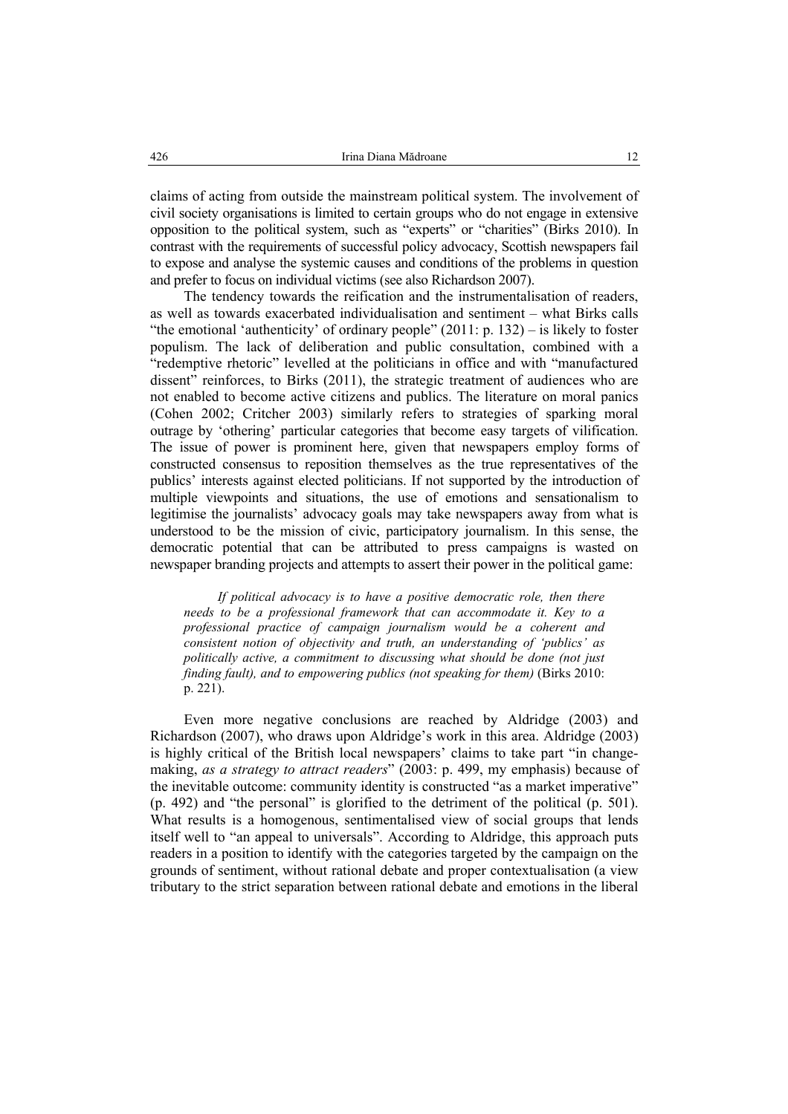claims of acting from outside the mainstream political system. The involvement of civil society organisations is limited to certain groups who do not engage in extensive opposition to the political system, such as "experts" or "charities" (Birks 2010). In contrast with the requirements of successful policy advocacy, Scottish newspapers fail to expose and analyse the systemic causes and conditions of the problems in question and prefer to focus on individual victims (see also Richardson 2007).

The tendency towards the reification and the instrumentalisation of readers, as well as towards exacerbated individualisation and sentiment – what Birks calls "the emotional 'authenticity' of ordinary people"  $(2011: p. 132)$  – is likely to foster populism. The lack of deliberation and public consultation, combined with a "redemptive rhetoric" levelled at the politicians in office and with "manufactured dissent" reinforces, to Birks (2011), the strategic treatment of audiences who are not enabled to become active citizens and publics. The literature on moral panics (Cohen 2002; Critcher 2003) similarly refers to strategies of sparking moral outrage by 'othering' particular categories that become easy targets of vilification. The issue of power is prominent here, given that newspapers employ forms of constructed consensus to reposition themselves as the true representatives of the publics' interests against elected politicians. If not supported by the introduction of multiple viewpoints and situations, the use of emotions and sensationalism to legitimise the journalists' advocacy goals may take newspapers away from what is understood to be the mission of civic, participatory journalism. In this sense, the democratic potential that can be attributed to press campaigns is wasted on newspaper branding projects and attempts to assert their power in the political game:

*If political advocacy is to have a positive democratic role, then there needs to be a professional framework that can accommodate it. Key to a professional practice of campaign journalism would be a coherent and consistent notion of objectivity and truth, an understanding of 'publics' as politically active, a commitment to discussing what should be done (not just finding fault), and to empowering publics (not speaking for them)* (Birks 2010: p. 221).

Even more negative conclusions are reached by Aldridge (2003) and Richardson (2007), who draws upon Aldridge's work in this area. Aldridge (2003) is highly critical of the British local newspapers' claims to take part "in changemaking, *as a strategy to attract readers*" (2003: p. 499, my emphasis) because of the inevitable outcome: community identity is constructed "as a market imperative" (p. 492) and "the personal" is glorified to the detriment of the political (p. 501). What results is a homogenous, sentimentalised view of social groups that lends itself well to "an appeal to universals". According to Aldridge, this approach puts readers in a position to identify with the categories targeted by the campaign on the grounds of sentiment, without rational debate and proper contextualisation (a view tributary to the strict separation between rational debate and emotions in the liberal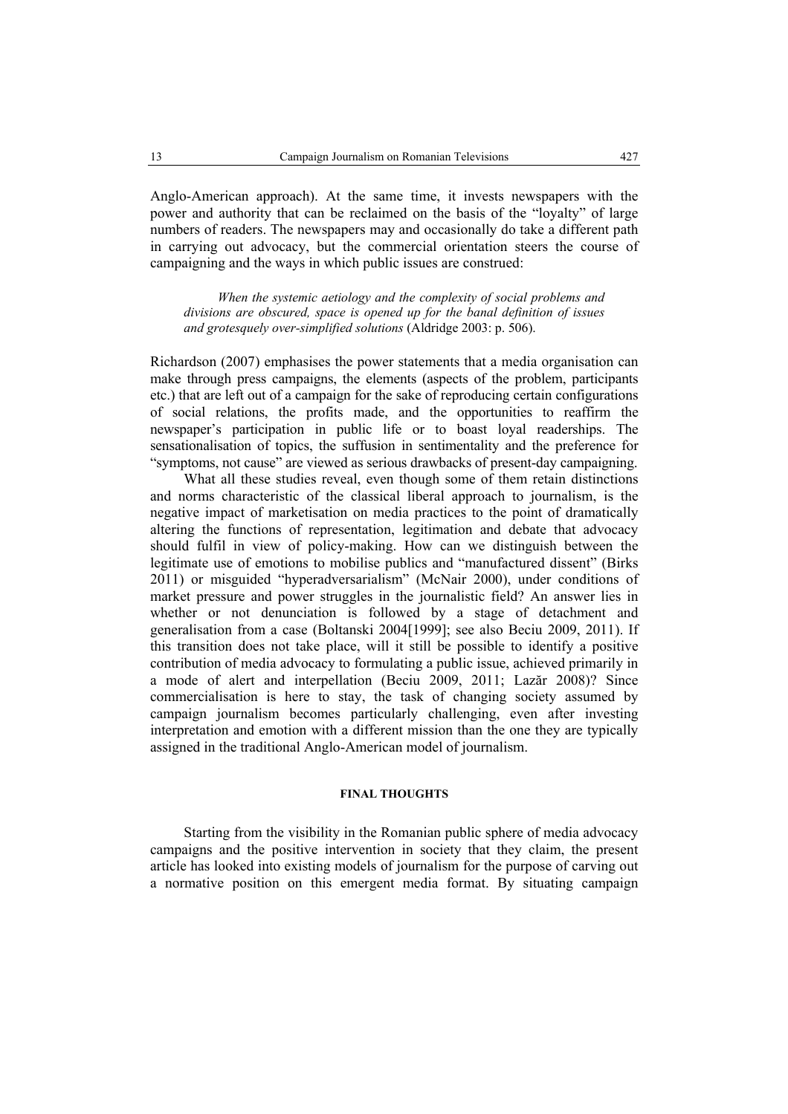Anglo-American approach). At the same time, it invests newspapers with the power and authority that can be reclaimed on the basis of the "loyalty" of large numbers of readers. The newspapers may and occasionally do take a different path in carrying out advocacy, but the commercial orientation steers the course of campaigning and the ways in which public issues are construed:

*When the systemic aetiology and the complexity of social problems and divisions are obscured, space is opened up for the banal definition of issues and grotesquely over-simplified solutions* (Aldridge 2003: p. 506).

Richardson (2007) emphasises the power statements that a media organisation can make through press campaigns, the elements (aspects of the problem, participants etc.) that are left out of a campaign for the sake of reproducing certain configurations of social relations, the profits made, and the opportunities to reaffirm the newspaper's participation in public life or to boast loyal readerships. The sensationalisation of topics, the suffusion in sentimentality and the preference for "symptoms, not cause" are viewed as serious drawbacks of present-day campaigning.

What all these studies reveal, even though some of them retain distinctions and norms characteristic of the classical liberal approach to journalism, is the negative impact of marketisation on media practices to the point of dramatically altering the functions of representation, legitimation and debate that advocacy should fulfil in view of policy-making. How can we distinguish between the legitimate use of emotions to mobilise publics and "manufactured dissent" (Birks 2011) or misguided "hyperadversarialism" (McNair 2000), under conditions of market pressure and power struggles in the journalistic field? An answer lies in whether or not denunciation is followed by a stage of detachment and generalisation from a case (Boltanski 2004[1999]; see also Beciu 2009, 2011). If this transition does not take place, will it still be possible to identify a positive contribution of media advocacy to formulating a public issue, achieved primarily in a mode of alert and interpellation (Beciu 2009, 2011; Lazăr 2008)? Since commercialisation is here to stay, the task of changing society assumed by campaign journalism becomes particularly challenging, even after investing interpretation and emotion with a different mission than the one they are typically assigned in the traditional Anglo-American model of journalism.

# **FINAL THOUGHTS**

Starting from the visibility in the Romanian public sphere of media advocacy campaigns and the positive intervention in society that they claim, the present article has looked into existing models of journalism for the purpose of carving out a normative position on this emergent media format. By situating campaign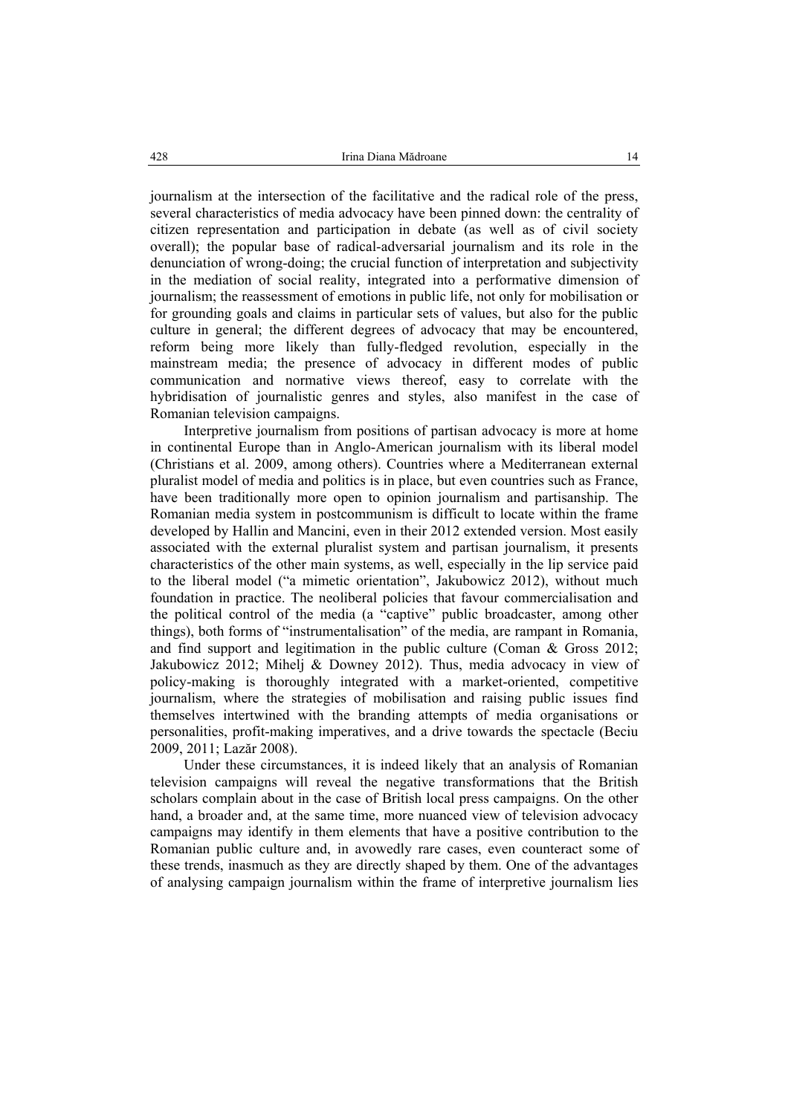journalism at the intersection of the facilitative and the radical role of the press, several characteristics of media advocacy have been pinned down: the centrality of citizen representation and participation in debate (as well as of civil society overall); the popular base of radical-adversarial journalism and its role in the denunciation of wrong-doing; the crucial function of interpretation and subjectivity in the mediation of social reality, integrated into a performative dimension of journalism; the reassessment of emotions in public life, not only for mobilisation or for grounding goals and claims in particular sets of values, but also for the public culture in general; the different degrees of advocacy that may be encountered, reform being more likely than fully-fledged revolution, especially in the mainstream media; the presence of advocacy in different modes of public communication and normative views thereof, easy to correlate with the hybridisation of journalistic genres and styles, also manifest in the case of Romanian television campaigns.

Interpretive journalism from positions of partisan advocacy is more at home in continental Europe than in Anglo-American journalism with its liberal model (Christians et al. 2009, among others). Countries where a Mediterranean external pluralist model of media and politics is in place, but even countries such as France, have been traditionally more open to opinion journalism and partisanship. The Romanian media system in postcommunism is difficult to locate within the frame developed by Hallin and Mancini, even in their 2012 extended version. Most easily associated with the external pluralist system and partisan journalism, it presents characteristics of the other main systems, as well, especially in the lip service paid to the liberal model ("a mimetic orientation", Jakubowicz 2012), without much foundation in practice. The neoliberal policies that favour commercialisation and the political control of the media (a "captive" public broadcaster, among other things), both forms of "instrumentalisation" of the media, are rampant in Romania, and find support and legitimation in the public culture (Coman & Gross 2012; Jakubowicz 2012; Mihelj & Downey 2012). Thus, media advocacy in view of policy-making is thoroughly integrated with a market-oriented, competitive journalism, where the strategies of mobilisation and raising public issues find themselves intertwined with the branding attempts of media organisations or personalities, profit-making imperatives, and a drive towards the spectacle (Beciu 2009, 2011; Lazăr 2008).

Under these circumstances, it is indeed likely that an analysis of Romanian television campaigns will reveal the negative transformations that the British scholars complain about in the case of British local press campaigns. On the other hand, a broader and, at the same time, more nuanced view of television advocacy campaigns may identify in them elements that have a positive contribution to the Romanian public culture and, in avowedly rare cases, even counteract some of these trends, inasmuch as they are directly shaped by them. One of the advantages of analysing campaign journalism within the frame of interpretive journalism lies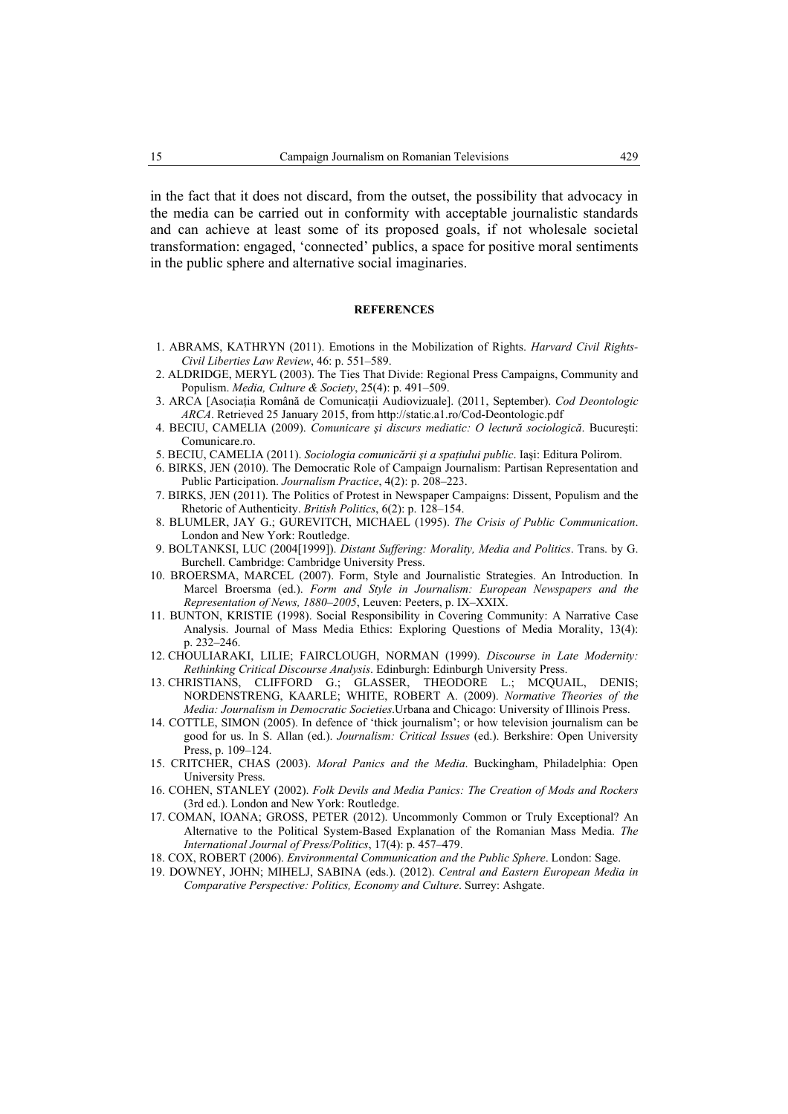in the fact that it does not discard, from the outset, the possibility that advocacy in the media can be carried out in conformity with acceptable journalistic standards and can achieve at least some of its proposed goals, if not wholesale societal transformation: engaged, 'connected' publics, a space for positive moral sentiments in the public sphere and alternative social imaginaries.

#### **REFERENCES**

- 1. ABRAMS, KATHRYN (2011). Emotions in the Mobilization of Rights. *Harvard Civil Rights-Civil Liberties Law Review*, 46: p. 551–589.
- 2. ALDRIDGE, MERYL (2003). The Ties That Divide: Regional Press Campaigns, Community and Populism. *Media, Culture & Society*, 25(4): p. 491–509.
- 3. ARCA [Asociaţia Română de Comunicaţii Audiovizuale]. (2011, September). *Cod Deontologic ARCA*. Retrieved 25 January 2015, from http://static.a1.ro/Cod-Deontologic.pdf
- 4. BECIU, CAMELIA (2009). *Comunicare şi discurs mediatic: O lectură sociologică*. Bucureşti: Comunicare.ro.
- 5. BECIU, CAMELIA (2011). *Sociologia comunicării şi a spaţiului public*. Iaşi: Editura Polirom.
- 6. BIRKS, JEN (2010). The Democratic Role of Campaign Journalism: Partisan Representation and Public Participation. *Journalism Practice*, 4(2): p. 208–223.
- 7. BIRKS, JEN (2011). The Politics of Protest in Newspaper Campaigns: Dissent, Populism and the Rhetoric of Authenticity. *British Politics*, 6(2): p. 128–154.
- 8. BLUMLER, JAY G.; GUREVITCH, MICHAEL (1995). *The Crisis of Public Communication*. London and New York: Routledge.
- 9. BOLTANKSI, LUC (2004[1999]). *Distant Suffering: Morality, Media and Politics*. Trans. by G. Burchell. Cambridge: Cambridge University Press.
- 10. BROERSMA, MARCEL (2007). Form, Style and Journalistic Strategies. An Introduction. In Marcel Broersma (ed.). *Form and Style in Journalism: European Newspapers and the Representation of News, 1880–2005*, Leuven: Peeters, p. IX–XXIX.
- 11. BUNTON, KRISTIE (1998). Social Responsibility in Covering Community: A Narrative Case Analysis. Journal of Mass Media Ethics: Exploring Questions of Media Morality, 13(4): p. 232–246.
- 12. CHOULIARAKI, LILIE; FAIRCLOUGH, NORMAN (1999). *Discourse in Late Modernity: Rethinking Critical Discourse Analysis*. Edinburgh: Edinburgh University Press.
- 13. CHRISTIANS, CLIFFORD G.; GLASSER, THEODORE L.; MCQUAIL, DENIS; NORDENSTRENG, KAARLE; WHITE, ROBERT A. (2009). *Normative Theories of the Media: Journalism in Democratic Societies*.Urbana and Chicago: University of Illinois Press.
- 14. COTTLE, SIMON (2005). In defence of 'thick journalism'; or how television journalism can be good for us. In S. Allan (ed.). *Journalism: Critical Issues* (ed.). Berkshire: Open University Press, p. 109–124.
- 15. CRITCHER, CHAS (2003). *Moral Panics and the Media*. Buckingham, Philadelphia: Open University Press.
- 16. COHEN, STANLEY (2002). *Folk Devils and Media Panics: The Creation of Mods and Rockers* (3rd ed.). London and New York: Routledge.
- 17. COMAN, IOANA; GROSS, PETER (2012). Uncommonly Common or Truly Exceptional? An Alternative to the Political System-Based Explanation of the Romanian Mass Media. *The International Journal of Press/Politics*, 17(4): p. 457–479.
- 18. COX, ROBERT (2006). *Environmental Communication and the Public Sphere*. London: Sage.
- 19. DOWNEY, JOHN; MIHELJ, SABINA (eds.). (2012). *Central and Eastern European Media in Comparative Perspective: Politics, Economy and Culture*. Surrey: Ashgate.